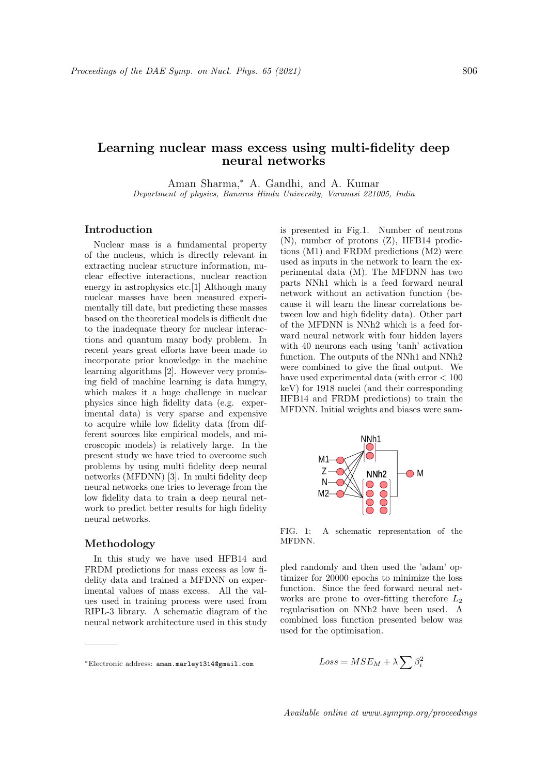# Learning nuclear mass excess using multi-fidelity deep neural networks

Aman Sharma,<sup>∗</sup> A. Gandhi, and A. Kumar Department of physics, Banaras Hindu University, Varanasi 221005, India

## Introduction

Nuclear mass is a fundamental property of the nucleus, which is directly relevant in extracting nuclear structure information, nuclear effective interactions, nuclear reaction energy in astrophysics etc.[1] Although many nuclear masses have been measured experimentally till date, but predicting these masses based on the theoretical models is difficult due to the inadequate theory for nuclear interactions and quantum many body problem. In recent years great efforts have been made to incorporate prior knowledge in the machine learning algorithms [2]. However very promising field of machine learning is data hungry, which makes it a huge challenge in nuclear physics since high fidelity data (e.g. experimental data) is very sparse and expensive to acquire while low fidelity data (from different sources like empirical models, and microscopic models) is relatively large. In the present study we have tried to overcome such problems by using multi fidelity deep neural networks (MFDNN) [3]. In multi fidelity deep neural networks one tries to leverage from the low fidelity data to train a deep neural network to predict better results for high fidelity neural networks.

### Methodology

In this study we have used HFB14 and FRDM predictions for mass excess as low fidelity data and trained a MFDNN on experimental values of mass excess. All the values used in training process were used from RIPL-3 library. A schematic diagram of the neural network architecture used in this study

is presented in Fig.1. Number of neutrons (N), number of protons (Z), HFB14 predictions (M1) and FRDM predictions (M2) were used as inputs in the network to learn the experimental data (M). The MFDNN has two parts NNh1 which is a feed forward neural network without an activation function (because it will learn the linear correlations between low and high fidelity data). Other part of the MFDNN is NNh2 which is a feed forward neural network with four hidden layers with 40 neurons each using 'tanh' activation function. The outputs of the NNh1 and NNh2 were combined to give the final output. We have used experimental data (with error < 100 keV) for 1918 nuclei (and their corresponding HFB14 and FRDM predictions) to train the MFDNN. Initial weights and biases were sam-



FIG. 1: A schematic representation of the **MFDNN** 

pled randomly and then used the 'adam' optimizer for 20000 epochs to minimize the loss function. Since the feed forward neural networks are prone to over-fitting therefore  $L_2$ regularisation on NNh2 have been used. A combined loss function presented below was used for the optimisation.

$$
Loss = MSE_M + \lambda \sum \beta_i^2
$$

<sup>∗</sup>Electronic address: aman.marley1314@gmail.com